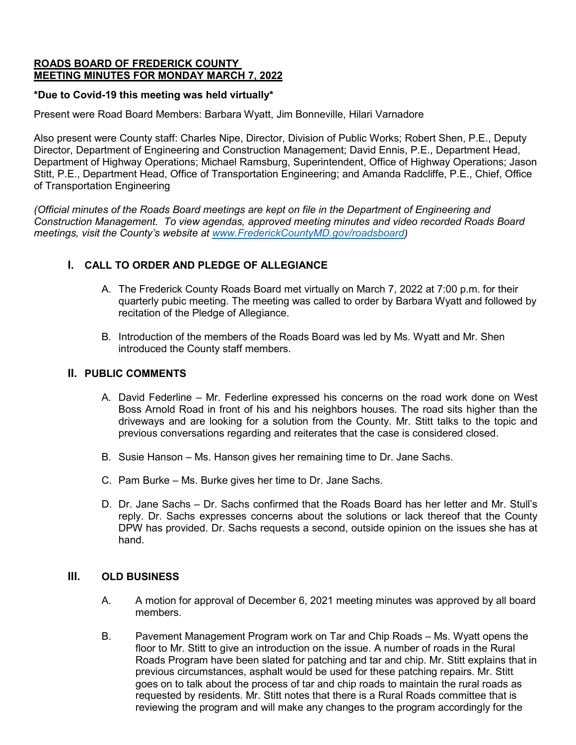#### **ROADS BOARD OF FREDERICK COUNTY MEETING MINUTES FOR MONDAY MARCH 7, 2022**

## **\*Due to Covid-19 this meeting was held virtually\***

Present were Road Board Members: Barbara Wyatt, Jim Bonneville, Hilari Varnadore

Also present were County staff: Charles Nipe, Director, Division of Public Works; Robert Shen, P.E., Deputy Director, Department of Engineering and Construction Management; David Ennis, P.E., Department Head, Department of Highway Operations; Michael Ramsburg, Superintendent, Office of Highway Operations; Jason Stitt, P.E., Department Head, Office of Transportation Engineering; and Amanda Radcliffe, P.E., Chief, Office of Transportation Engineering

*(Official minutes of the Roads Board meetings are kept on file in the Department of Engineering and Construction Management. To view agendas, approved meeting minutes and video recorded Roads Board meetings, visit the County's website at [www.FrederickCountyMD.gov/roadsboard\)](http://www.frederickcountymd.gov/roadsboard)* 

# **I. CALL TO ORDER AND PLEDGE OF ALLEGIANCE**

- A. The Frederick County Roads Board met virtually on March 7, 2022 at 7:00 p.m. for their quarterly pubic meeting. The meeting was called to order by Barbara Wyatt and followed by recitation of the Pledge of Allegiance.
- B. Introduction of the members of the Roads Board was led by Ms. Wyatt and Mr. Shen introduced the County staff members.

### **II. PUBLIC COMMENTS**

- A. David Federline Mr. Federline expressed his concerns on the road work done on West Boss Arnold Road in front of his and his neighbors houses. The road sits higher than the driveways and are looking for a solution from the County. Mr. Stitt talks to the topic and previous conversations regarding and reiterates that the case is considered closed.
- B. Susie Hanson Ms. Hanson gives her remaining time to Dr. Jane Sachs.
- C. Pam Burke Ms. Burke gives her time to Dr. Jane Sachs.
- D. Dr. Jane Sachs Dr. Sachs confirmed that the Roads Board has her letter and Mr. Stull's reply. Dr. Sachs expresses concerns about the solutions or lack thereof that the County DPW has provided. Dr. Sachs requests a second, outside opinion on the issues she has at hand.

#### **III. OLD BUSINESS**

- A. A motion for approval of December 6, 2021 meeting minutes was approved by all board members.
- B. Pavement Management Program work on Tar and Chip Roads Ms. Wyatt opens the floor to Mr. Stitt to give an introduction on the issue. A number of roads in the Rural Roads Program have been slated for patching and tar and chip. Mr. Stitt explains that in previous circumstances, asphalt would be used for these patching repairs. Mr. Stitt goes on to talk about the process of tar and chip roads to maintain the rural roads as requested by residents. Mr. Stitt notes that there is a Rural Roads committee that is reviewing the program and will make any changes to the program accordingly for the